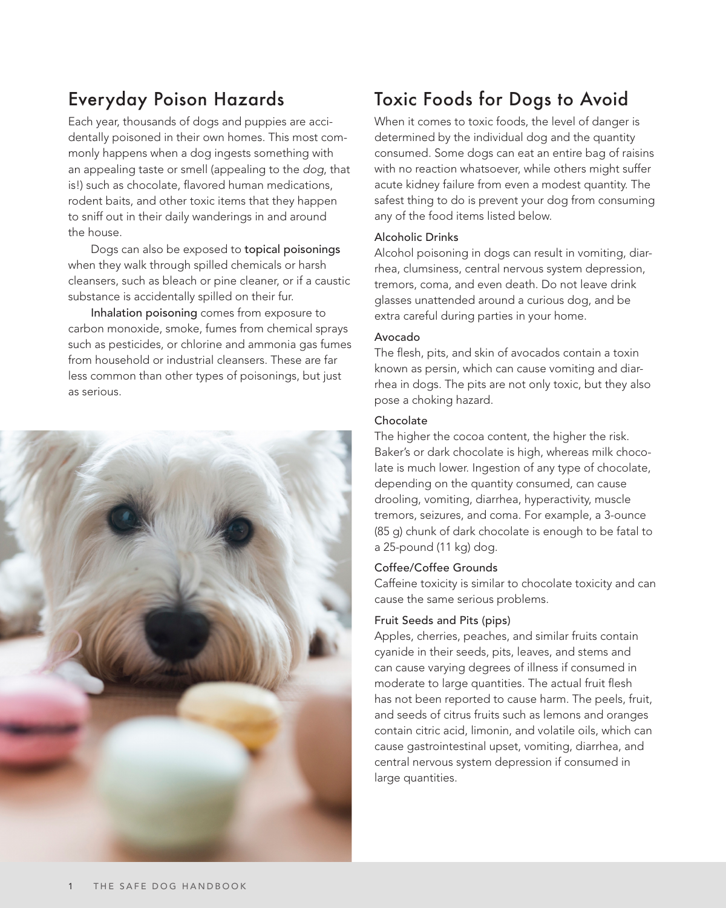# Everyday Poison Hazards

Each year, thousands of dogs and puppies are accidentally poisoned in their own homes. This most commonly happens when a dog ingests something with an appealing taste or smell (appealing to the *dog*, that is!) such as chocolate, flavored human medications, rodent baits, and other toxic items that they happen to sniff out in their daily wanderings in and around the house.

Dogs can also be exposed to topical poisonings when they walk through spilled chemicals or harsh cleansers, such as bleach or pine cleaner, or if a caustic substance is accidentally spilled on their fur.

Inhalation poisoning comes from exposure to carbon monoxide, smoke, fumes from chemical sprays such as pesticides, or chlorine and ammonia gas fumes from household or industrial cleansers. These are far less common than other types of poisonings, but just as serious.



# Toxic Foods for Dogs to Avoid

When it comes to toxic foods, the level of danger is determined by the individual dog and the quantity consumed. Some dogs can eat an entire bag of raisins with no reaction whatsoever, while others might suffer acute kidney failure from even a modest quantity. The safest thing to do is prevent your dog from consuming any of the food items listed below.

# Alcoholic Drinks

Alcohol poisoning in dogs can result in vomiting, diarrhea, clumsiness, central nervous system depression, tremors, coma, and even death. Do not leave drink glasses unattended around a curious dog, and be extra careful during parties in your home.

#### Avocado

The flesh, pits, and skin of avocados contain a toxin known as persin, which can cause vomiting and diarrhea in dogs. The pits are not only toxic, but they also pose a choking hazard.

#### Chocolate

The higher the cocoa content, the higher the risk. Baker's or dark chocolate is high, whereas milk chocolate is much lower. Ingestion of any type of chocolate, depending on the quantity consumed, can cause drooling, vomiting, diarrhea, hyperactivity, muscle tremors, seizures, and coma. For example, a 3-ounce (85 g) chunk of dark chocolate is enough to be fatal to a 25-pound (11 kg) dog.

#### Coffee/Coffee Grounds

Caffeine toxicity is similar to chocolate toxicity and can cause the same serious problems.

## Fruit Seeds and Pits (pips)

Apples, cherries, peaches, and similar fruits contain cyanide in their seeds, pits, leaves, and stems and can cause varying degrees of illness if consumed in moderate to large quantities. The actual fruit flesh has not been reported to cause harm. The peels, fruit, and seeds of citrus fruits such as lemons and oranges contain citric acid, limonin, and volatile oils, which can cause gastrointestinal upset, vomiting, diarrhea, and central nervous system depression if consumed in large quantities.